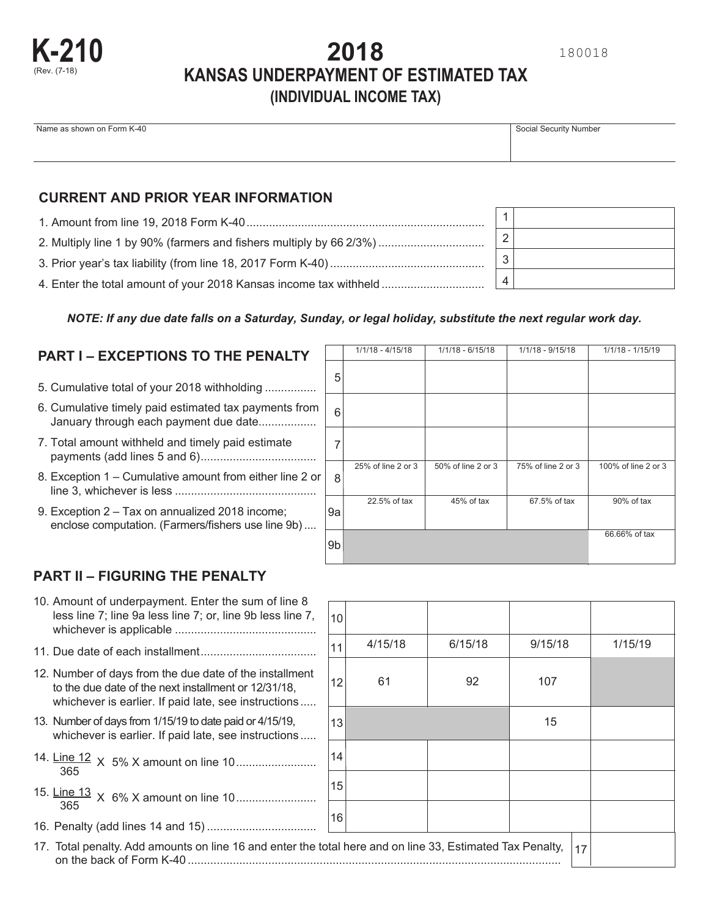# **2018 KANSAS UNDERPAYMENT OF ESTIMATED TAX (INDIVIDUAL INCOME TAX)**

# Name as shown on Form K-40 Social Security Number

## **CURRENT AND PRIOR YEAR INFORMATION**

| 2. Multiply line 1 by 90% (farmers and fishers multiply by 66 2/3%) |
|---------------------------------------------------------------------|
|                                                                     |
|                                                                     |

| 2 |  |
|---|--|
| 3 |  |
|   |  |

#### *NOTE: If any due date falls on a Saturday, Sunday, or legal holiday, substitute the next regular work day.*

# **PART I – EXCEPTIONS TO THE PENALTY**

- 5. Cumulative total of your 2018 withholding ................
- 6. Cumulative timely paid estimated tax payments from January through each payment due date..................
- 7. Total amount withheld and timely paid estimate payments (add lines 5 and 6) ....................................
- 8. Exception 1 Cumulative amount from either line 2 or line 3, whichever is less ............................................
- 9. Exception 2 Tax on annualized 2018 income; enclose computation. (Farmers/fishers use line 9b) ....

|    | $1/1/18 - 4/15/18$ | $1/1/18 - 6/15/18$ | 1/1/18 - 9/15/18   | 1/1/18 - 1/15/19    |
|----|--------------------|--------------------|--------------------|---------------------|
| 5  |                    |                    |                    |                     |
| 6  |                    |                    |                    |                     |
| 7  |                    |                    |                    |                     |
| 8  | 25% of line 2 or 3 | 50% of line 2 or 3 | 75% of line 2 or 3 | 100% of line 2 or 3 |
| 9а | 22.5% of tax       | 45% of tax         | 67.5% of tax       | 90% of tax          |
| 9b |                    |                    |                    | 66.66% of tax       |

## **PART II – FIGURING THE PENALTY**

| 10. Amount of underpayment. Enter the sum of line 8        |  |
|------------------------------------------------------------|--|
| less line 7; line 9a less line 7; or, line 9b less line 7, |  |
|                                                            |  |

- 
- 12. Number of days from the due date of the installment to the due date of the next installment or 12/31/18, whichever is earlier. If paid late, see instructions .....
- 13. Number of days from 1/15/19 to date paid or 4/15/19, whichever is earlier. If paid late, see instructions .....
- 14. Line 12 X 5% X amount on line 10 ......................... 365
- 15. Line 13 <sup>X</sup> 6% X amount on line 10 <sup>365</sup> .........................
- 16. Penalty (add lines 14 and 15) ..................................
- 11. Due date of each installment 4/15/18 6/15/18 9/15/18 1/15/<sup>19</sup> .................................... 61 92 107 15 , 10 11 12 13 14 15 16 17

| 17. Total penalty. Add amounts on line 16 and enter the total here and on line 33, Estimated Tax Penalty, $ _1$ |  |
|-----------------------------------------------------------------------------------------------------------------|--|
|                                                                                                                 |  |